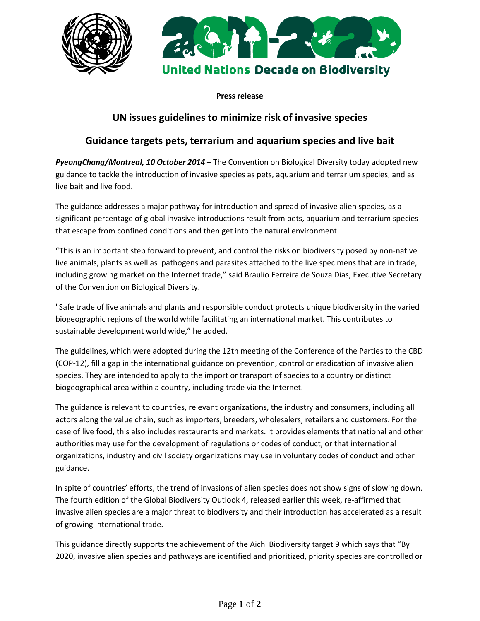



**Press release** 

## **UN issues guidelines to minimize risk of invasive species**

# **Guidance targets pets, terrarium and aquarium species and live bait**

*PyeongChang/Montreal, 10 October 2014* **–** The Convention on Biological Diversity today adopted new guidance to tackle the introduction of invasive species as pets, aquarium and terrarium species, and as live bait and live food.

The guidance addresses a major pathway for introduction and spread of invasive alien species, as a significant percentage of global invasive introductions result from pets, aquarium and terrarium species that escape from confined conditions and then get into the natural environment.

"This is an important step forward to prevent, and control the risks on biodiversity posed by non-native live animals, plants as well as pathogens and parasites attached to the live specimens that are in trade, including growing market on the Internet trade," said Braulio Ferreira de Souza Dias, Executive Secretary of the Convention on Biological Diversity.

"Safe trade of live animals and plants and responsible conduct protects unique biodiversity in the varied biogeographic regions of the world while facilitating an international market. This contributes to sustainable development world wide," he added.

The guidelines, which were adopted during the 12th meeting of the Conference of the Parties to the CBD (COP-12), fill a gap in the international guidance on prevention, control or eradication of invasive alien species. They are intended to apply to the import or transport of species to a country or distinct biogeographical area within a country, including trade via the Internet.

The guidance is relevant to countries, relevant organizations, the industry and consumers, including all actors along the value chain, such as importers, breeders, wholesalers, retailers and customers. For the case of live food, this also includes restaurants and markets. It provides elements that national and other authorities may use for the development of regulations or codes of conduct, or that international organizations, industry and civil society organizations may use in voluntary codes of conduct and other guidance.

In spite of countries' efforts, the trend of invasions of alien species does not show signs of slowing down. The fourth edition of the Global Biodiversity Outlook 4, released earlier this week, re-affirmed that invasive alien species are a major threat to biodiversity and their introduction has accelerated as a result of growing international trade.

This guidance directly supports the achievement of the Aichi Biodiversity target 9 which says that "By 2020, invasive alien species and pathways are identified and prioritized, priority species are controlled or